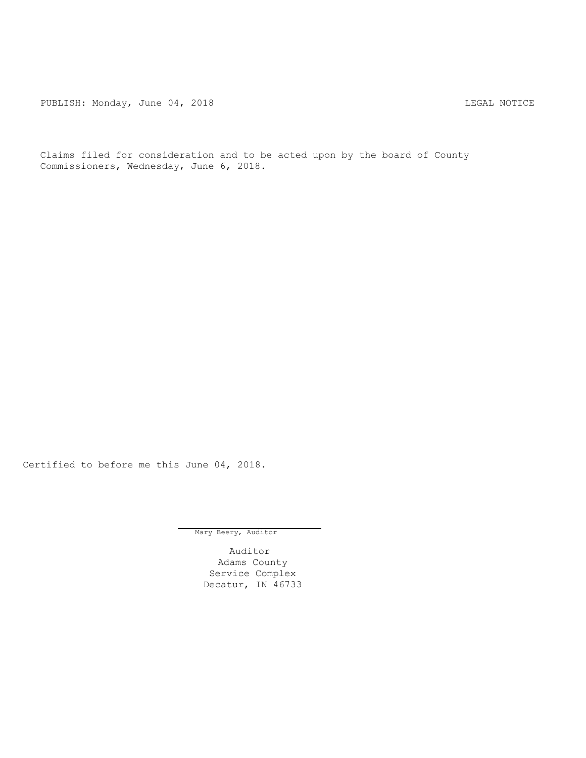PUBLISH: Monday, June 04, 2018 2018

Claims filed for consideration and to be acted upon by the board of County Commissioners, Wednesday, June 6, 2018.

Certified to before me this June 04, 2018.

Mary Beery, Auditor

Auditor Adams County Service Complex Decatur, IN 46733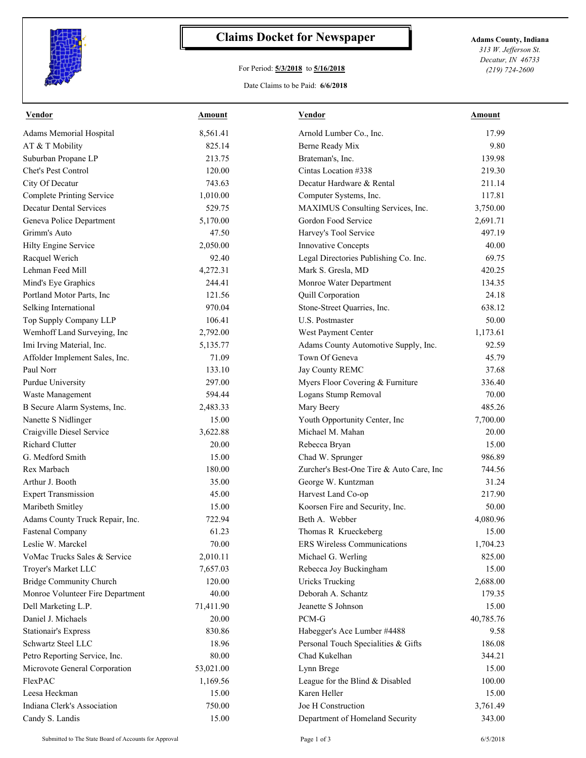

## **Claims Docket for Newspaper Adams County, Indiana**

## For Period: **5/3/2018** to **5/16/2018**

*313 W. Jefferson St. Decatur, IN 46733 (219) 724-2600*

## Date Claims to be Paid: **6/6/2018**

| <b>Vendor</b>                    | <b>Amount</b>         | <b>Vendor</b>                            | <b>Amount</b> |
|----------------------------------|-----------------------|------------------------------------------|---------------|
| Adams Memorial Hospital          | 8,561.41              | Arnold Lumber Co., Inc.                  | 17.99         |
| AT & T Mobility                  | 825.14                | Berne Ready Mix                          | 9.80          |
| Suburban Propane LP              | 213.75                | Brateman's, Inc.                         | 139.98        |
| Chet's Pest Control              | 120.00                | Cintas Location #338                     | 219.30        |
| City Of Decatur                  | 743.63                | Decatur Hardware & Rental                | 211.14        |
| <b>Complete Printing Service</b> | 1,010.00              | Computer Systems, Inc.                   | 117.81        |
| <b>Decatur Dental Services</b>   | 529.75                | MAXIMUS Consulting Services, Inc.        | 3,750.00      |
| Geneva Police Department         | 5,170.00              | Gordon Food Service                      | 2,691.71      |
| Grimm's Auto                     | 47.50                 | Harvey's Tool Service                    | 497.19        |
| Hilty Engine Service             | 2,050.00              | Innovative Concepts                      | 40.00         |
| Racquel Werich                   | 92.40                 | Legal Directories Publishing Co. Inc.    | 69.75         |
| Lehman Feed Mill                 | 4,272.31              | Mark S. Gresla, MD                       | 420.25        |
| Mind's Eye Graphics              | 244.41                | Monroe Water Department                  | 134.35        |
| Portland Motor Parts, Inc.       | 121.56                | Quill Corporation                        | 24.18         |
| Selking International            | 970.04                | Stone-Street Quarries, Inc.              | 638.12        |
| Top Supply Company LLP           | 106.41                | U.S. Postmaster                          | 50.00         |
| Wemhoff Land Surveying, Inc      | 2,792.00              | West Payment Center                      | 1,173.61      |
| Imi Irving Material, Inc.        | 5,135.77              | Adams County Automotive Supply, Inc.     | 92.59         |
| Affolder Implement Sales, Inc.   | 71.09                 | Town Of Geneva                           | 45.79         |
| Paul Norr                        | 133.10                | Jay County REMC                          | 37.68         |
| Purdue University                | 297.00                | Myers Floor Covering & Furniture         | 336.40        |
| Waste Management                 | 594.44                | Logans Stump Removal                     | 70.00         |
| B Secure Alarm Systems, Inc.     | 2,483.33              | Mary Beery                               | 485.26        |
| Nanette S Nidlinger              | 15.00                 | Youth Opportunity Center, Inc            | 7,700.00      |
| Craigville Diesel Service        | 3,622.88              | Michael M. Mahan                         | 20.00         |
| <b>Richard Clutter</b>           | 20.00                 | Rebecca Bryan                            | 15.00         |
| G. Medford Smith                 | 15.00                 | Chad W. Sprunger                         | 986.89        |
| Rex Marbach                      | 180.00                | Zurcher's Best-One Tire & Auto Care, Inc | 744.56        |
| Arthur J. Booth                  | 35.00                 | George W. Kuntzman                       | 31.24         |
| <b>Expert Transmission</b>       | 45.00                 | Harvest Land Co-op                       | 217.90        |
| Maribeth Smitley                 | 15.00                 | Koorsen Fire and Security, Inc.          | 50.00         |
| Adams County Truck Repair, Inc.  | 722.94                | Beth A. Webber                           | 4,080.96      |
| Fastenal Company                 | 61.23                 | Thomas R Krueckeberg                     | 15.00         |
| Leslie W. Marckel                | 70.00                 | ERS Wireless Communications              | 1,704.23      |
| VoMac Trucks Sales & Service     | 2,010.11              | Michael G. Werling                       | 825.00        |
| Troyer's Market LLC              | 7,657.03              | Rebecca Joy Buckingham                   | 15.00         |
| <b>Bridge Community Church</b>   | 120.00                | <b>Uricks Trucking</b>                   | 2,688.00      |
| Monroe Volunteer Fire Department | 40.00                 | Deborah A. Schantz                       | 179.35        |
| Dell Marketing L.P.              | 71,411.90             | Jeanette S Johnson                       | 15.00         |
| Daniel J. Michaels               | 20.00                 | PCM-G                                    | 40,785.76     |
| <b>Stationair's Express</b>      | 830.86                | Habegger's Ace Lumber #4488              | 9.58          |
| Schwartz Steel LLC               | 18.96                 | Personal Touch Specialities & Gifts      | 186.08        |
| Petro Reporting Service, Inc.    | 80.00                 | Chad Kukelhan                            | 344.21        |
| Microvote General Corporation    |                       | Lynn Brege                               | 15.00         |
| FlexPAC                          | 53,021.00<br>1,169.56 | League for the Blind & Disabled          | 100.00        |
| Leesa Heckman                    | 15.00                 | Karen Heller                             | 15.00         |
| Indiana Clerk's Association      |                       | Joe H Construction                       |               |
|                                  | 750.00                |                                          | 3,761.49      |
| Candy S. Landis                  | 15.00                 | Department of Homeland Security          | 343.00        |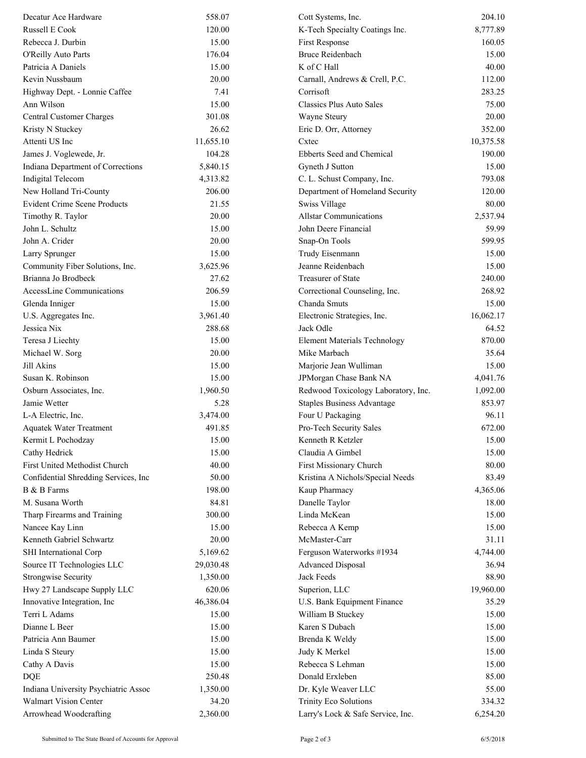| Decatur Ace Hardware                 | 558.07    | Cott Systems, Inc.                  | 204.10    |
|--------------------------------------|-----------|-------------------------------------|-----------|
| Russell E Cook                       | 120.00    | K-Tech Specialty Coatings Inc.      | 8,777.89  |
| Rebecca J. Durbin                    | 15.00     | First Response                      | 160.05    |
| O'Reilly Auto Parts                  | 176.04    | <b>Bruce Reidenbach</b>             | 15.00     |
| Patricia A Daniels                   | 15.00     | K of C Hall                         | 40.00     |
| Kevin Nussbaum                       | 20.00     | Carnall, Andrews & Crell, P.C.      | 112.00    |
| Highway Dept. - Lonnie Caffee        | 7.41      | Corrisoft                           | 283.25    |
| Ann Wilson                           | 15.00     | Classics Plus Auto Sales            | 75.00     |
| Central Customer Charges             | 301.08    | Wayne Steury                        | 20.00     |
| Kristy N Stuckey                     | 26.62     | Eric D. Orr, Attorney               | 352.00    |
| Attenti US Inc                       | 11,655.10 | Cxtec                               | 10,375.58 |
| James J. Voglewede, Jr.              | 104.28    | Ebberts Seed and Chemical           | 190.00    |
| Indiana Department of Corrections    | 5,840.15  | Gyneth J Sutton                     | 15.00     |
| <b>Indigital Telecom</b>             | 4,313.82  | C. L. Schust Company, Inc.          | 793.08    |
| New Holland Tri-County               | 206.00    | Department of Homeland Security     | 120.00    |
| <b>Evident Crime Scene Products</b>  | 21.55     | Swiss Village                       | 80.00     |
| Timothy R. Taylor                    | 20.00     | <b>Allstar Communications</b>       | 2,537.94  |
| John L. Schultz                      | 15.00     | John Deere Financial                | 59.99     |
| John A. Crider                       | 20.00     | Snap-On Tools                       | 599.95    |
| Larry Sprunger                       | 15.00     | Trudy Eisenmann                     | 15.00     |
| Community Fiber Solutions, Inc.      | 3,625.96  | Jeanne Reidenbach                   | 15.00     |
| Brianna Jo Brodbeck                  | 27.62     | <b>Treasurer of State</b>           | 240.00    |
| AccessLine Communications            | 206.59    | Correctional Counseling, Inc.       | 268.92    |
| Glenda Inniger                       | 15.00     | Chanda Smuts                        | 15.00     |
| U.S. Aggregates Inc.                 | 3,961.40  | Electronic Strategies, Inc.         | 16,062.17 |
| Jessica Nix                          | 288.68    | Jack Odle                           | 64.52     |
| Teresa J Liechty                     | 15.00     | <b>Element Materials Technology</b> | 870.00    |
| Michael W. Sorg                      | 20.00     | Mike Marbach                        | 35.64     |
| Jill Akins                           | 15.00     | Marjorie Jean Wulliman              | 15.00     |
| Susan K. Robinson                    | 15.00     | JPMorgan Chase Bank NA              | 4,041.76  |
| Osburn Associates, Inc.              | 1,960.50  | Redwood Toxicology Laboratory, Inc. | 1,092.00  |
| Jamie Wetter                         | 5.28      | <b>Staples Business Advantage</b>   | 853.97    |
| L-A Electric, Inc.                   | 3,474.00  | Four U Packaging                    | 96.11     |
| <b>Aquatek Water Treatment</b>       | 491.85    | Pro-Tech Security Sales             | 672.00    |
| Kermit L Pochodzay                   | 15.00     | Kenneth R Ketzler                   | 15.00     |
| Cathy Hedrick                        | 15.00     | Claudia A Gimbel                    | 15.00     |
| First United Methodist Church        | 40.00     | First Missionary Church             | 80.00     |
| Confidential Shredding Services, Inc | 50.00     | Kristina A Nichols/Special Needs    | 83.49     |
| B & B Farms                          | 198.00    | Kaup Pharmacy                       | 4,365.06  |
| M. Susana Worth                      | 84.81     | Danelle Taylor                      | 18.00     |
| Tharp Firearms and Training          | 300.00    | Linda McKean                        | 15.00     |
| Nancee Kay Linn                      | 15.00     | Rebecca A Kemp                      | 15.00     |
| Kenneth Gabriel Schwartz             | 20.00     | McMaster-Carr                       | 31.11     |
| SHI International Corp               | 5,169.62  | Ferguson Waterworks #1934           | 4,744.00  |
| Source IT Technologies LLC           | 29,030.48 | <b>Advanced Disposal</b>            | 36.94     |
| <b>Strongwise Security</b>           | 1,350.00  | Jack Feeds                          | 88.90     |
| Hwy 27 Landscape Supply LLC          | 620.06    | Superion, LLC                       | 19,960.00 |
| Innovative Integration, Inc          | 46,386.04 | U.S. Bank Equipment Finance         | 35.29     |
| Terri L Adams                        | 15.00     | William B Stuckey                   | 15.00     |
| Dianne L Beer                        | 15.00     | Karen S Dubach                      | 15.00     |
| Patricia Ann Baumer                  | 15.00     | Brenda K Weldy                      | 15.00     |
| Linda S Steury                       | 15.00     | Judy K Merkel                       | 15.00     |
| Cathy A Davis                        | 15.00     | Rebecca S Lehman                    | 15.00     |
| <b>DQE</b>                           | 250.48    | Donald Erxleben                     | 85.00     |
| Indiana University Psychiatric Assoc | 1,350.00  | Dr. Kyle Weaver LLC                 | 55.00     |
| Walmart Vision Center                | 34.20     | Trinity Eco Solutions               | 334.32    |
| Arrowhead Woodcrafting               | 2,360.00  | Larry's Lock & Safe Service, Inc.   | 6,254.20  |